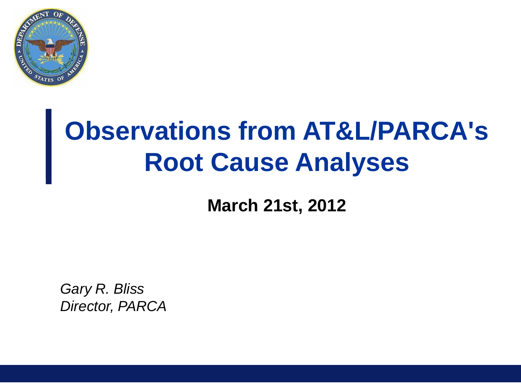

# **Observations from AT&L/PARCA's Root Cause Analyses**

**March 21st, 2012**

*Gary R. Bliss Director, PARCA*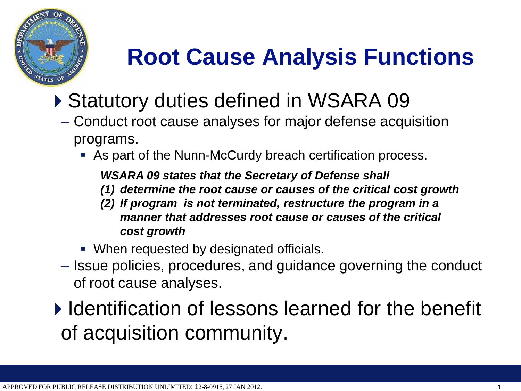

# **Root Cause Analysis Functions**

- ▶ Statutory duties defined in WSARA 09
	- Conduct root cause analyses for major defense acquisition programs.
		- As part of the Nunn-McCurdy breach certification process.

*WSARA 09 states that the Secretary of Defense shall* 

- *(1) determine the root cause or causes of the critical cost growth*
- *(2) If program is not terminated, restructure the program in a manner that addresses root cause or causes of the critical cost growth*
- When requested by designated officials.
- Issue policies, procedures, and guidance governing the conduct of root cause analyses.

 $\blacktriangleright$  Identification of lessons learned for the benefit of acquisition community.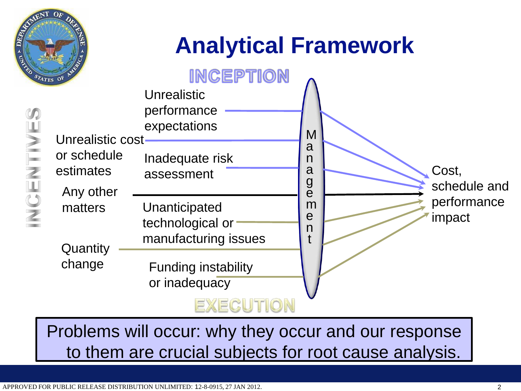

## **Analytical Framework**



Problems will occur: why they occur and our response to them are crucial subjects for root cause analysis.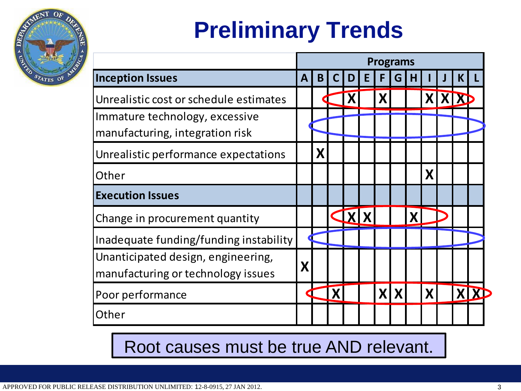

# **Preliminary Trends**

|                                                                   | <b>Programs</b> |   |  |   |  |   |            |   |   |  |    |  |
|-------------------------------------------------------------------|-----------------|---|--|---|--|---|------------|---|---|--|----|--|
| <b>Inception Issues</b>                                           | A               | B |  | D |  |   | G          | н |   |  | K. |  |
| Unrealistic cost or schedule estimates                            |                 |   |  |   |  | X |            |   |   |  |    |  |
| Immature technology, excessive<br>manufacturing, integration risk |                 |   |  |   |  |   |            |   |   |  |    |  |
| Unrealistic performance expectations                              |                 | X |  |   |  |   |            |   |   |  |    |  |
| Other                                                             |                 |   |  |   |  |   |            |   | Χ |  |    |  |
| <b>Execution Issues</b>                                           |                 |   |  |   |  |   |            |   |   |  |    |  |
| Change in procurement quantity                                    |                 |   |  |   |  |   |            |   |   |  |    |  |
| Inadequate funding/funding instability                            |                 |   |  |   |  |   |            |   |   |  |    |  |
| Unanticipated design, engineering,                                |                 |   |  |   |  |   |            |   |   |  |    |  |
| manufacturing or technology issues                                | X               |   |  |   |  |   |            |   |   |  |    |  |
| Poor performance                                                  |                 |   |  |   |  |   | <b>XIX</b> |   | X |  |    |  |
| Other                                                             |                 |   |  |   |  |   |            |   |   |  |    |  |

#### Root causes must be true AND relevant.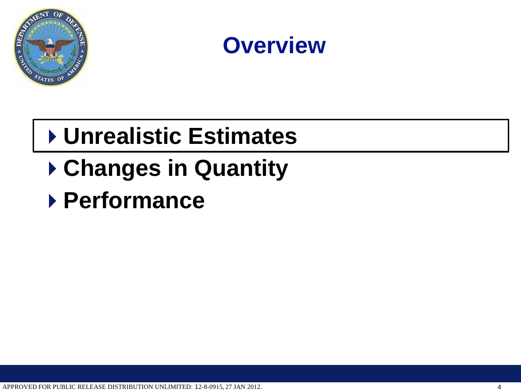



### **Unrealistic Estimates**

## **Changes in Quantity**

#### **Performance**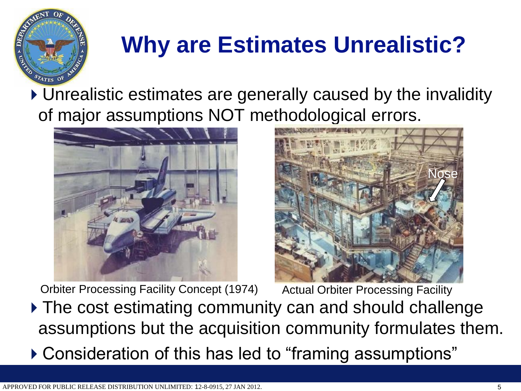

## **Why are Estimates Unrealistic?**

▶ Unrealistic estimates are generally caused by the invalidity of major assumptions NOT methodological errors.



Orbiter Processing Facility Concept (1974)



▶ The cost estimating community can and should challenge assumptions but the acquisition community formulates them. Actual Orbiter Processing Facility

Consideration of this has led to "framing assumptions"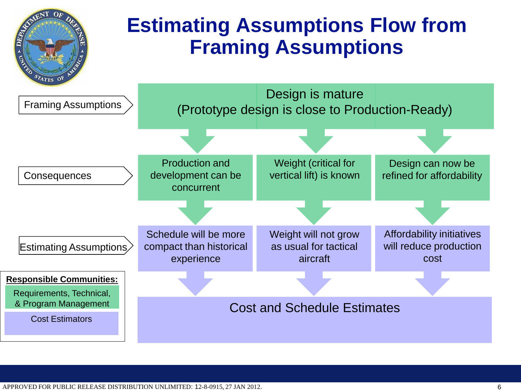

APPROVED FOR PUBLIC RELEASE DISTRIBUTION UNLIMITED: 12-8-0915, 27 JAN 2012.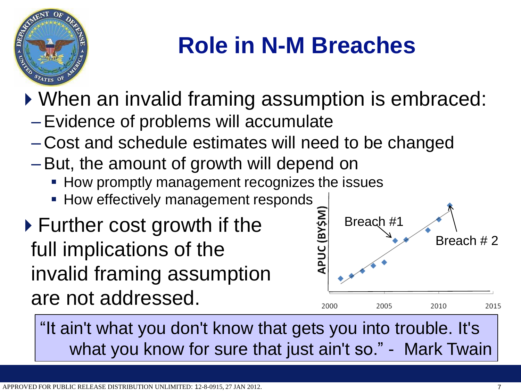

### **Role in N-M Breaches**

▶ When an invalid framing assumption is embraced:

- Evidence of problems will accumulate
- Cost and schedule estimates will need to be changed
- But, the amount of growth will depend on
	- **How promptly management recognizes the issues**
	- **How effectively management responds**
- ▶ Further cost growth if the full implications of the invalid framing assumption are not addressed.



"It ain't what you don't know that gets you into trouble. It's what you know for sure that just ain't so." - Mark Twain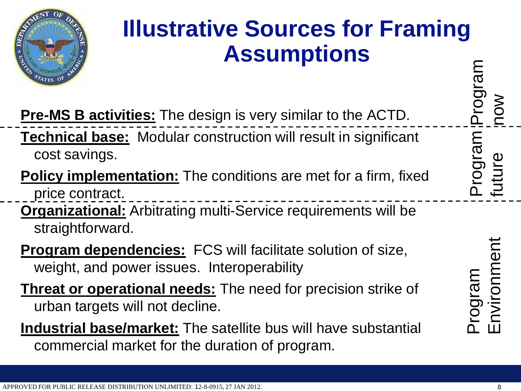

#### **Illustrative Sources for Framing Assumptions**

**Pre-MS B activities:** The design is very similar to the ACTD. **Technical base:** Modular construction will result in significant cost savings.

**Policy implementation:** The conditions are met for a firm, fixed price contract.

**Organizational:** Arbitrating multi-Service requirements will be straightforward.

- **Program dependencies:** FCS will facilitate solution of size, weight, and power issues. Interoperability
- **Threat or operational needs:** The need for precision strike of urban targets will not decline.
- **Industrial base/market:** The satellite bus will have substantial commercial market for the duration of program.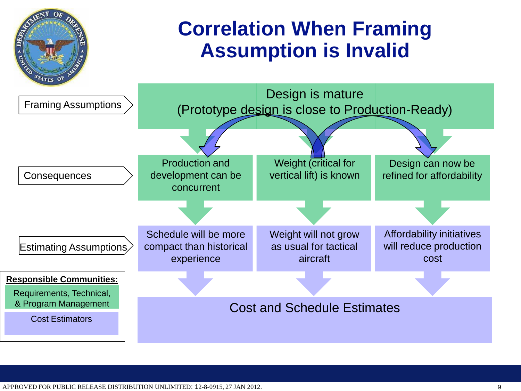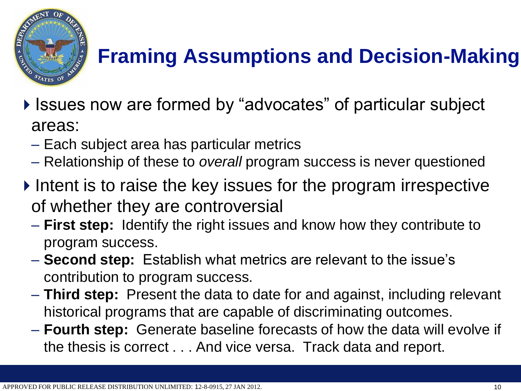

#### **Framing Assumptions and Decision-Making**

- ▶ Issues now are formed by "advocates" of particular subject areas:
	- Each subject area has particular metrics
	- Relationship of these to *overall* program success is never questioned
- $\triangleright$  Intent is to raise the key issues for the program irrespective of whether they are controversial
	- **First step:** Identify the right issues and know how they contribute to program success.
	- **Second step:** Establish what metrics are relevant to the issue's contribution to program success.
	- **Third step:** Present the data to date for and against, including relevant historical programs that are capable of discriminating outcomes.
	- **Fourth step:** Generate baseline forecasts of how the data will evolve if the thesis is correct . . . And vice versa. Track data and report.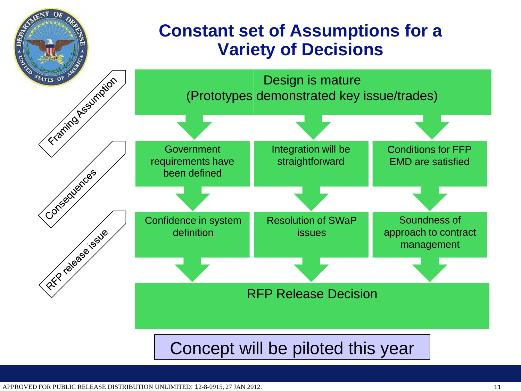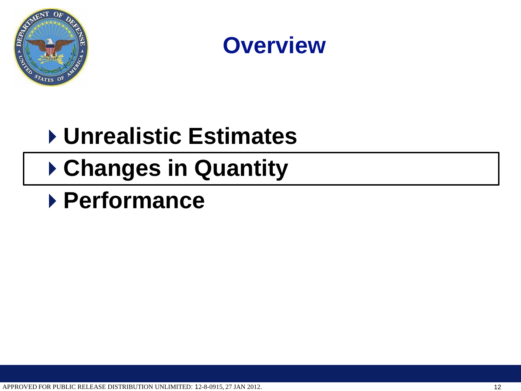



### **Unrealistic Estimates**

### **Changes in Quantity**

#### **Performance**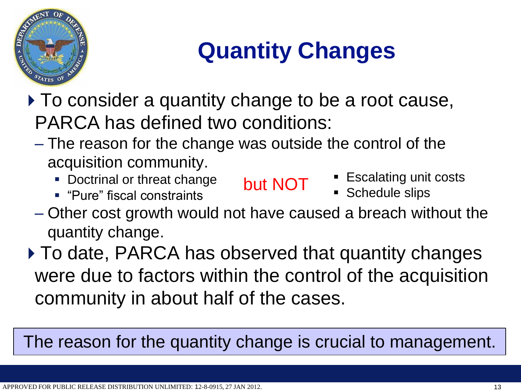

## **Quantity Changes**

- ▶ To consider a quantity change to be a root cause, PARCA has defined two conditions:
	- The reason for the change was outside the control of the acquisition community.
		- **Doctrinal or threat change**
		- "Pure" fiscal constraints
- but NOT **Escalating unit costs** 
	- **Schedule slips**
- Other cost growth would not have caused a breach without the quantity change.
- ▶ To date, PARCA has observed that quantity changes were due to factors within the control of the acquisition community in about half of the cases.

The reason for the quantity change is crucial to management.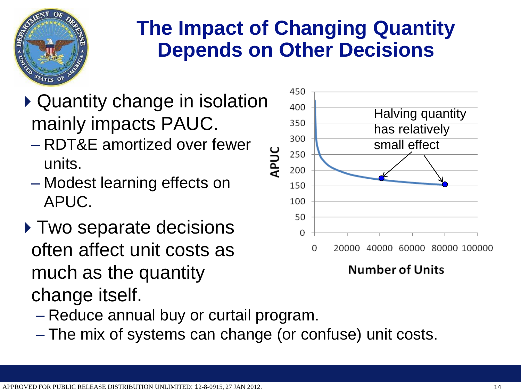

#### **The Impact of Changing Quantity Depends on Other Decisions**

- Quantity change in isolation mainly impacts PAUC.
	- RDT&E amortized over fewer units.
	- Modest learning effects on APUC.
- ▶ Two separate decisions often affect unit costs as much as the quantity change itself.



**Number of Units** 

- Reduce annual buy or curtail program.
- The mix of systems can change (or confuse) unit costs.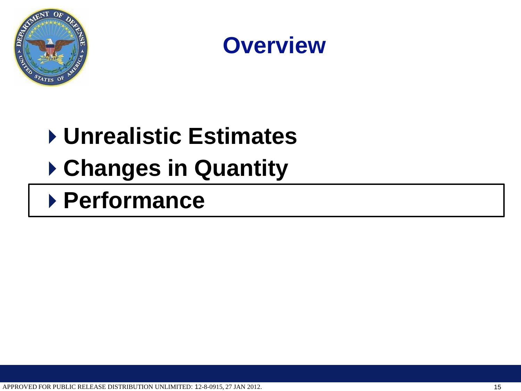



# **Unrealistic Estimates Changes in Quantity**

**Performance**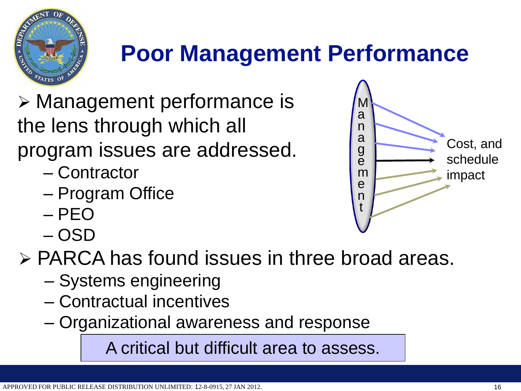

#### **Poor Management Performance**

 Management performance is the lens through which all program issues are addressed.

- Contractor
- Program Office
- PEO
- OSD

PARCA has found issues in three broad areas.

- Systems engineering
- Contractual incentives
- Organizational awareness and response

A critical but difficult area to assess.

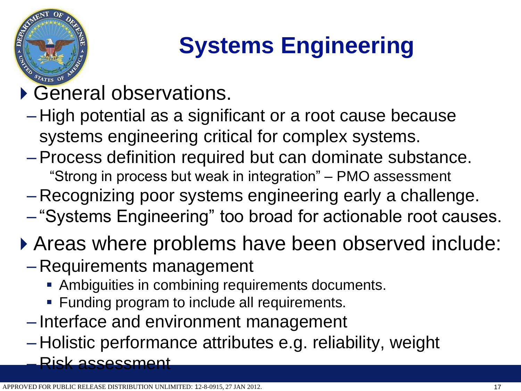

# **Systems Engineering**

#### General observations.

- High potential as a significant or a root cause because systems engineering critical for complex systems.
- Process definition required but can dominate substance. "Strong in process but weak in integration" – PMO assessment
- Recognizing poor systems engineering early a challenge.
- "Systems Engineering" too broad for actionable root causes.
- Areas where problems have been observed include:
	- Requirements management
		- **Ambiguities in combining requirements documents.**
		- **Funding program to include all requirements.**
	- Interface and environment management
	- Holistic performance attributes e.g. reliability, weight – Risk assessment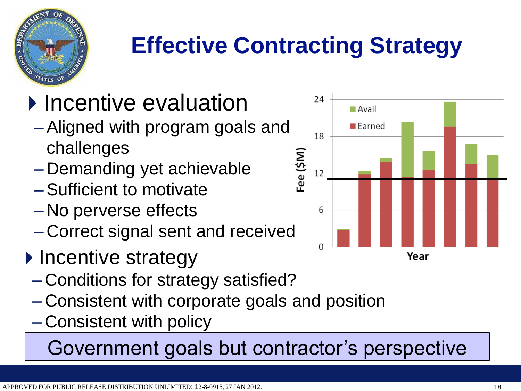

# **Effective Contracting Strategy**

# **Incentive evaluation**

- Aligned with program goals and challenges
- Demanding yet achievable
- Sufficient to motivate
- No perverse effects
- Correct signal sent and received
- ▶ Incentive strategy
	- Conditions for strategy satisfied?
	- Consistent with corporate goals and position
	- Consistent with policy

Government goals but contractor's perspective

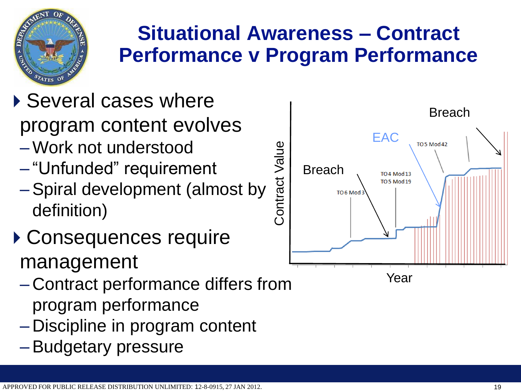

#### **Situational Awareness – Contract Performance v Program Performance**

# ▶ Several cases where

- program content evolves
- Work not understood
- "Unfunded" requirement
- Spiral development (almost by definition)
- Consequences require management
	- Contract performance differs from program performance
	- Discipline in program content
	- Budgetary pressure

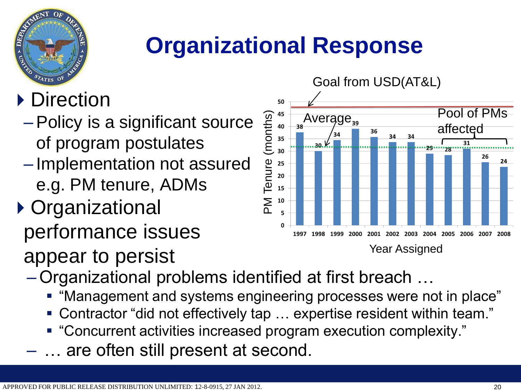

### **Organizational Response**

#### ▶ Direction

- Policy is a significant source of program postulates
- Implementation not assured e.g. PM tenure, ADMs
- Organizational performance issues



- Organizational problems identified at first breach …
	- "Management and systems engineering processes were not in place"
	- Contractor "did not effectively tap … expertise resident within team."
	- "Concurrent activities increased program execution complexity."
	- ... are often still present at second.